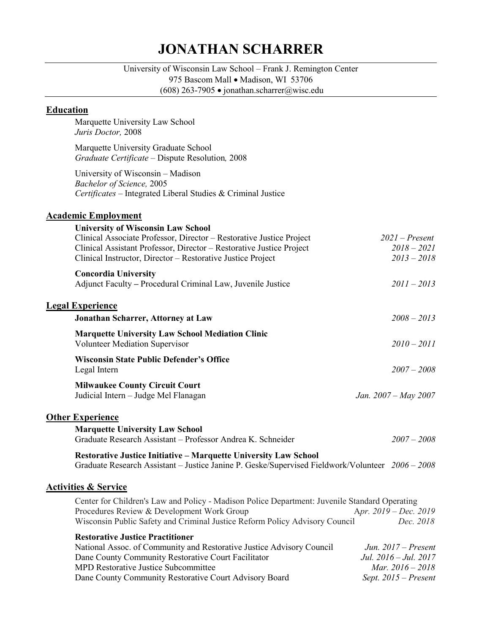# **JONATHAN SCHARRER**

University of Wisconsin Law School – Frank J. Remington Center 975 Bascom Mall • Madison, WI 53706

(608) 263-7905 • jonathan.scharrer@wisc.edu

## **Education**

Marquette University Law School *Juris Doctor,* 2008

Marquette University Graduate School *Graduate Certificate –* Dispute Resolution*,* 2008

University of Wisconsin – Madison *Bachelor of Science,* 2005 *Certificates –* Integrated Liberal Studies & Criminal Justice

# **Academic Employment**

| <b>University of Wisconsin Law School</b>                                                        |                                    |
|--------------------------------------------------------------------------------------------------|------------------------------------|
| Clinical Associate Professor, Director - Restorative Justice Project                             | $2021$ – Present                   |
| Clinical Assistant Professor, Director - Restorative Justice Project                             | $2018 - 2021$                      |
| Clinical Instructor, Director - Restorative Justice Project                                      | $2013 - 2018$                      |
| <b>Concordia University</b>                                                                      |                                    |
| Adjunct Faculty - Procedural Criminal Law, Juvenile Justice                                      | $2011 - 2013$                      |
| <b>Legal Experience</b>                                                                          |                                    |
| Jonathan Scharrer, Attorney at Law                                                               | $2008 - 2013$                      |
| <b>Marquette University Law School Mediation Clinic</b><br><b>Volunteer Mediation Supervisor</b> | $2010 - 2011$                      |
|                                                                                                  |                                    |
| <b>Wisconsin State Public Defender's Office</b><br>Legal Intern                                  | $2007 - 2008$                      |
| <b>Milwaukee County Circuit Court</b>                                                            |                                    |
| Judicial Intern - Judge Mel Flanagan                                                             | Jan. $2007 - May 2007$             |
| <b>Other Experience</b>                                                                          |                                    |
| <b>Marquette University Law School</b>                                                           |                                    |
| Graduate Research Assistant - Professor Andrea K. Schneider                                      | $2007 - 2008$                      |
| <b>Restorative Justice Initiative - Marquette University Law School</b>                          |                                    |
| Graduate Research Assistant - Justice Janine P. Geske/Supervised Fieldwork/Volunteer 2006 - 2008 |                                    |
| <b>Activities &amp; Service</b>                                                                  |                                    |
| Center for Children's Law and Policy - Madison Police Department: Juvenile Standard Operating    |                                    |
| Procedures Review & Development Work Group                                                       | Apr. $2019 - Dec. 2019$            |
| Wisconsin Public Safety and Criminal Justice Reform Policy Advisory Council                      | Dec. 2018                          |
| <b>Restorative Justice Practitioner</b>                                                          |                                    |
| National Assoc. of Community and Restorative Justice Advisory Council                            | Jun. $2017$ – Present              |
| Dane County Community Restorative Court Facilitator                                              | Jul. $2016 - \frac{J}{100}$ . 2017 |

| Dane County Community Restorative Court Facilitator    | Jul. 2016 – Jul. 2017     |
|--------------------------------------------------------|---------------------------|
| <b>MPD Restorative Justice Subcommittee</b>            | <i>Mar.</i> $2016 - 2018$ |
| Dane County Community Restorative Court Advisory Board | Sept. $2015$ – Present    |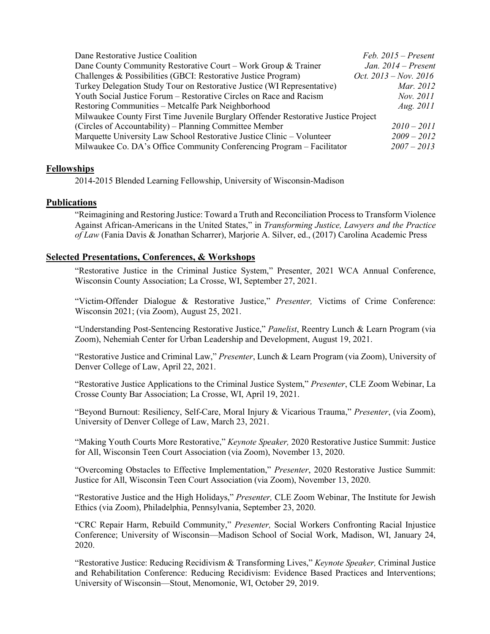| Dane Restorative Justice Coalition                                                 | $Feb. 2015 - Present$   |  |
|------------------------------------------------------------------------------------|-------------------------|--|
| Dane County Community Restorative Court – Work Group & Trainer                     | Jan. $2014$ – Present   |  |
| Challenges & Possibilities (GBCI: Restorative Justice Program)                     | Oct. $2013 - Nov. 2016$ |  |
| Turkey Delegation Study Tour on Restorative Justice (WI Representative)            | Mar. 2012               |  |
| Youth Social Justice Forum – Restorative Circles on Race and Racism                | Nov. 2011               |  |
| Restoring Communities - Metcalfe Park Neighborhood                                 | <i>Aug.</i> 2011        |  |
| Milwaukee County First Time Juvenile Burglary Offender Restorative Justice Project |                         |  |
| (Circles of Accountability) – Planning Committee Member                            | $2010 - 2011$           |  |
| Marquette University Law School Restorative Justice Clinic - Volunteer             | $2009 - 2012$           |  |
| Milwaukee Co. DA's Office Community Conferencing Program – Facilitator             | $2007 - 2013$           |  |

### **Fellowships**

2014-2015 Blended Learning Fellowship, University of Wisconsin-Madison

#### **Publications**

"Reimagining and Restoring Justice: Toward a Truth and Reconciliation Process to Transform Violence Against African-Americans in the United States," in *Transforming Justice, Lawyers and the Practice of Law* (Fania Davis & Jonathan Scharrer), Marjorie A. Silver, ed., (2017) Carolina Academic Press

#### **Selected Presentations, Conferences, & Workshops**

"Restorative Justice in the Criminal Justice System," Presenter, 2021 WCA Annual Conference, Wisconsin County Association; La Crosse, WI, September 27, 2021.

"Victim-Offender Dialogue & Restorative Justice," *Presenter,* Victims of Crime Conference: Wisconsin 2021; (via Zoom), August 25, 2021.

"Understanding Post-Sentencing Restorative Justice," *Panelist*, Reentry Lunch & Learn Program (via Zoom), Nehemiah Center for Urban Leadership and Development, August 19, 2021.

"Restorative Justice and Criminal Law," *Presenter*, Lunch & Learn Program (via Zoom), University of Denver College of Law, April 22, 2021.

"Restorative Justice Applications to the Criminal Justice System," *Presenter*, CLE Zoom Webinar, La Crosse County Bar Association; La Crosse, WI, April 19, 2021.

"Beyond Burnout: Resiliency, Self-Care, Moral Injury & Vicarious Trauma," *Presenter*, (via Zoom), University of Denver College of Law, March 23, 2021.

"Making Youth Courts More Restorative," *Keynote Speaker,* 2020 Restorative Justice Summit: Justice for All, Wisconsin Teen Court Association (via Zoom), November 13, 2020.

"Overcoming Obstacles to Effective Implementation," *Presenter*, 2020 Restorative Justice Summit: Justice for All, Wisconsin Teen Court Association (via Zoom), November 13, 2020.

"Restorative Justice and the High Holidays," *Presenter,* CLE Zoom Webinar, The Institute for Jewish Ethics (via Zoom), Philadelphia, Pennsylvania, September 23, 2020.

"CRC Repair Harm, Rebuild Community," *Presenter,* Social Workers Confronting Racial Injustice Conference; University of Wisconsin—Madison School of Social Work, Madison, WI, January 24, 2020.

"Restorative Justice: Reducing Recidivism & Transforming Lives," *Keynote Speaker,* Criminal Justice and Rehabilitation Conference: Reducing Recidivism: Evidence Based Practices and Interventions; University of Wisconsin—Stout, Menomonie, WI, October 29, 2019.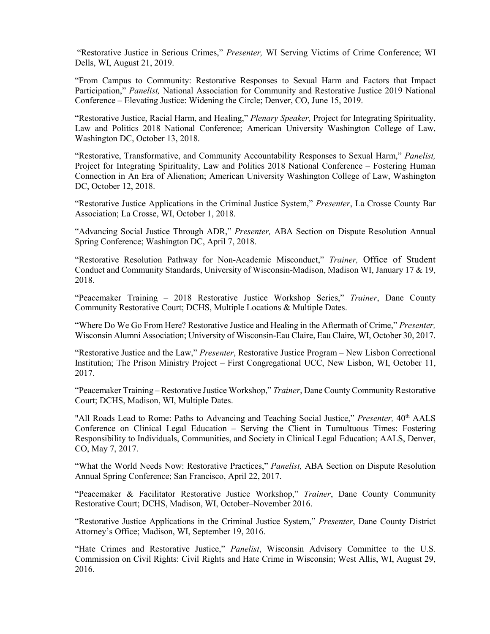"Restorative Justice in Serious Crimes," *Presenter,* WI Serving Victims of Crime Conference; WI Dells, WI, August 21, 2019.

"From Campus to Community: Restorative Responses to Sexual Harm and Factors that Impact Participation," *Panelist,* National Association for Community and Restorative Justice 2019 National Conference – Elevating Justice: Widening the Circle; Denver, CO, June 15, 2019.

"Restorative Justice, Racial Harm, and Healing," *Plenary Speaker,* Project for Integrating Spirituality, Law and Politics 2018 National Conference; American University Washington College of Law, Washington DC, October 13, 2018.

"Restorative, Transformative, and Community Accountability Responses to Sexual Harm," *Panelist,* Project for Integrating Spirituality, Law and Politics 2018 National Conference – Fostering Human Connection in An Era of Alienation; American University Washington College of Law, Washington DC, October 12, 2018.

"Restorative Justice Applications in the Criminal Justice System," *Presenter*, La Crosse County Bar Association; La Crosse, WI, October 1, 2018.

"Advancing Social Justice Through ADR," *Presenter,* ABA Section on Dispute Resolution Annual Spring Conference; Washington DC, April 7, 2018.

"Restorative Resolution Pathway for Non-Academic Misconduct," *Trainer,* Office of Student Conduct and Community Standards, University of Wisconsin-Madison, Madison WI, January 17 & 19, 2018.

"Peacemaker Training – 2018 Restorative Justice Workshop Series," *Trainer*, Dane County Community Restorative Court; DCHS, Multiple Locations & Multiple Dates.

"Where Do We Go From Here? Restorative Justice and Healing in the Aftermath of Crime," *Presenter,* Wisconsin Alumni Association; University of Wisconsin-Eau Claire, Eau Claire, WI, October 30, 2017.

"Restorative Justice and the Law," *Presenter*, Restorative Justice Program – New Lisbon Correctional Institution; The Prison Ministry Project – First Congregational UCC, New Lisbon, WI, October 11, 2017.

"Peacemaker Training – Restorative Justice Workshop," *Trainer*, Dane County Community Restorative Court; DCHS, Madison, WI, Multiple Dates.

"All Roads Lead to Rome: Paths to Advancing and Teaching Social Justice," *Presenter,* 40th AALS Conference on Clinical Legal Education – Serving the Client in Tumultuous Times: Fostering Responsibility to Individuals, Communities, and Society in Clinical Legal Education; AALS, Denver, CO, May 7, 2017.

"What the World Needs Now: Restorative Practices," *Panelist,* ABA Section on Dispute Resolution Annual Spring Conference; San Francisco, April 22, 2017.

"Peacemaker & Facilitator Restorative Justice Workshop," *Trainer*, Dane County Community Restorative Court; DCHS, Madison, WI, October–November 2016.

"Restorative Justice Applications in the Criminal Justice System," *Presenter*, Dane County District Attorney's Office; Madison, WI, September 19, 2016.

"Hate Crimes and Restorative Justice," *Panelist*, Wisconsin Advisory Committee to the U.S. Commission on Civil Rights: Civil Rights and Hate Crime in Wisconsin; West Allis, WI, August 29, 2016.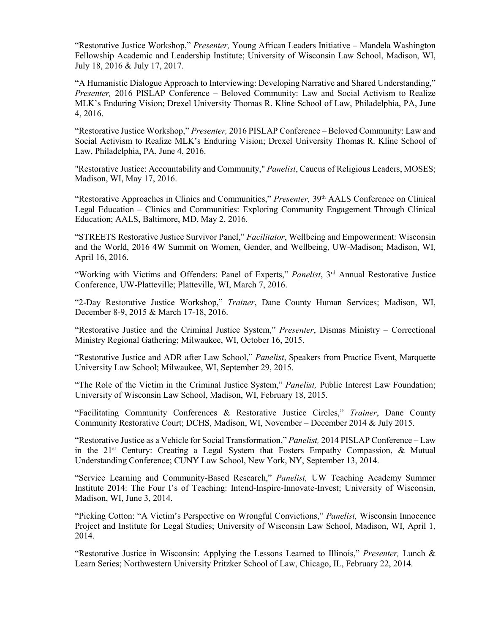"Restorative Justice Workshop," *Presenter,* Young African Leaders Initiative – Mandela Washington Fellowship Academic and Leadership Institute; University of Wisconsin Law School, Madison, WI, July 18, 2016 & July 17, 2017.

"A Humanistic Dialogue Approach to Interviewing: Developing Narrative and Shared Understanding," *Presenter,* 2016 PISLAP Conference – Beloved Community: Law and Social Activism to Realize MLK's Enduring Vision; Drexel University Thomas R. Kline School of Law, Philadelphia, PA, June 4, 2016.

"Restorative Justice Workshop," *Presenter,* 2016 PISLAP Conference – Beloved Community: Law and Social Activism to Realize MLK's Enduring Vision; Drexel University Thomas R. Kline School of Law, Philadelphia, PA, June 4, 2016.

"Restorative Justice: Accountability and Community," *Panelist*, Caucus of Religious Leaders, MOSES; Madison, WI, May 17, 2016.

"Restorative Approaches in Clinics and Communities," Presenter, 39<sup>th</sup> AALS Conference on Clinical Legal Education – Clinics and Communities: Exploring Community Engagement Through Clinical Education; AALS, Baltimore, MD, May 2, 2016.

"STREETS Restorative Justice Survivor Panel," *Facilitator*, Wellbeing and Empowerment: Wisconsin and the World, 2016 4W Summit on Women, Gender, and Wellbeing, UW-Madison; Madison, WI, April 16, 2016.

"Working with Victims and Offenders: Panel of Experts," *Panelist*, 3rd Annual Restorative Justice Conference, UW-Platteville; Platteville, WI, March 7, 2016.

"2-Day Restorative Justice Workshop," *Trainer*, Dane County Human Services; Madison, WI, December 8-9, 2015 & March 17-18, 2016.

"Restorative Justice and the Criminal Justice System," *Presenter*, Dismas Ministry – Correctional Ministry Regional Gathering; Milwaukee, WI, October 16, 2015.

"Restorative Justice and ADR after Law School," *Panelist*, Speakers from Practice Event, Marquette University Law School; Milwaukee, WI, September 29, 2015.

"The Role of the Victim in the Criminal Justice System," *Panelist,* Public Interest Law Foundation; University of Wisconsin Law School, Madison, WI, February 18, 2015.

"Facilitating Community Conferences & Restorative Justice Circles," *Trainer*, Dane County Community Restorative Court; DCHS, Madison, WI, November – December 2014 & July 2015.

"Restorative Justice as a Vehicle for Social Transformation," *Panelist,* 2014 PISLAP Conference – Law in the  $21^{st}$  Century: Creating a Legal System that Fosters Empathy Compassion, & Mutual Understanding Conference; CUNY Law School, New York, NY, September 13, 2014.

"Service Learning and Community-Based Research," *Panelist,* UW Teaching Academy Summer Institute 2014: The Four I's of Teaching: Intend-Inspire-Innovate-Invest; University of Wisconsin, Madison, WI, June 3, 2014.

"Picking Cotton: "A Victim's Perspective on Wrongful Convictions," *Panelist,* Wisconsin Innocence Project and Institute for Legal Studies; University of Wisconsin Law School, Madison, WI, April 1, 2014.

"Restorative Justice in Wisconsin: Applying the Lessons Learned to Illinois," *Presenter,* Lunch & Learn Series; Northwestern University Pritzker School of Law, Chicago, IL, February 22, 2014.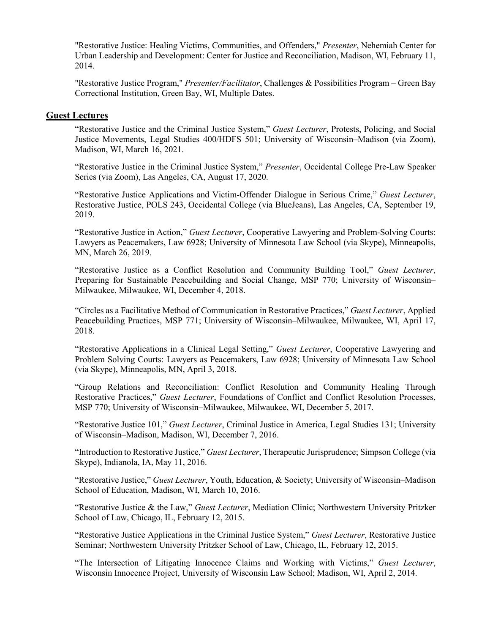"Restorative Justice: Healing Victims, Communities, and Offenders," *Presenter*, Nehemiah Center for Urban Leadership and Development: Center for Justice and Reconciliation, Madison, WI, February 11, 2014.

"Restorative Justice Program," *Presenter/Facilitator*, Challenges & Possibilities Program – Green Bay Correctional Institution, Green Bay, WI, Multiple Dates.

#### **Guest Lectures**

"Restorative Justice and the Criminal Justice System," *Guest Lecturer*, Protests, Policing, and Social Justice Movements, Legal Studies 400/HDFS 501; University of Wisconsin–Madison (via Zoom), Madison, WI, March 16, 2021.

"Restorative Justice in the Criminal Justice System," *Presenter*, Occidental College Pre-Law Speaker Series (via Zoom), Las Angeles, CA, August 17, 2020.

"Restorative Justice Applications and Victim-Offender Dialogue in Serious Crime," *Guest Lecturer*, Restorative Justice, POLS 243, Occidental College (via BlueJeans), Las Angeles, CA, September 19, 2019.

"Restorative Justice in Action," *Guest Lecturer*, Cooperative Lawyering and Problem-Solving Courts: Lawyers as Peacemakers, Law 6928; University of Minnesota Law School (via Skype), Minneapolis, MN, March 26, 2019.

"Restorative Justice as a Conflict Resolution and Community Building Tool," *Guest Lecturer*, Preparing for Sustainable Peacebuilding and Social Change, MSP 770; University of Wisconsin– Milwaukee, Milwaukee, WI, December 4, 2018.

"Circles as a Facilitative Method of Communication in Restorative Practices," *Guest Lecturer*, Applied Peacebuilding Practices, MSP 771; University of Wisconsin–Milwaukee, Milwaukee, WI, April 17, 2018.

"Restorative Applications in a Clinical Legal Setting," *Guest Lecturer*, Cooperative Lawyering and Problem Solving Courts: Lawyers as Peacemakers, Law 6928; University of Minnesota Law School (via Skype), Minneapolis, MN, April 3, 2018.

"Group Relations and Reconciliation: Conflict Resolution and Community Healing Through Restorative Practices," *Guest Lecturer*, Foundations of Conflict and Conflict Resolution Processes, MSP 770; University of Wisconsin–Milwaukee, Milwaukee, WI, December 5, 2017.

"Restorative Justice 101," *Guest Lecturer*, Criminal Justice in America, Legal Studies 131; University of Wisconsin–Madison, Madison, WI, December 7, 2016.

"Introduction to Restorative Justice," *Guest Lecturer*, Therapeutic Jurisprudence; Simpson College (via Skype), Indianola, IA, May 11, 2016.

"Restorative Justice," *Guest Lecturer*, Youth, Education, & Society; University of Wisconsin–Madison School of Education, Madison, WI, March 10, 2016.

"Restorative Justice & the Law," *Guest Lecturer*, Mediation Clinic; Northwestern University Pritzker School of Law, Chicago, IL, February 12, 2015.

"Restorative Justice Applications in the Criminal Justice System," *Guest Lecturer*, Restorative Justice Seminar; Northwestern University Pritzker School of Law, Chicago, IL, February 12, 2015.

"The Intersection of Litigating Innocence Claims and Working with Victims," *Guest Lecturer*, Wisconsin Innocence Project, University of Wisconsin Law School; Madison, WI, April 2, 2014.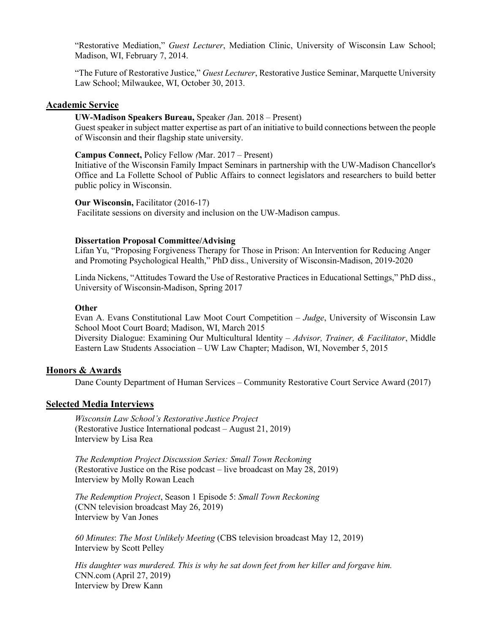"Restorative Mediation," *Guest Lecturer*, Mediation Clinic, University of Wisconsin Law School; Madison, WI, February 7, 2014.

"The Future of Restorative Justice," *Guest Lecturer*, Restorative Justice Seminar, Marquette University Law School; Milwaukee, WI, October 30, 2013.

#### **Academic Service**

**UW-Madison Speakers Bureau,** Speaker *(*Jan. 2018 – Present)

Guest speaker in subject matter expertise as part of an initiative to build connections between the people of Wisconsin and their flagship state university.

**Campus Connect,** Policy Fellow *(*Mar. 2017 – Present)

Initiative of the Wisconsin Family Impact Seminars in partnership with the UW-Madison Chancellor's Office and La Follette School of Public Affairs to connect legislators and researchers to build better public policy in Wisconsin.

**Our Wisconsin, Facilitator (2016-17)** Facilitate sessions on diversity and inclusion on the UW-Madison campus.

#### **Dissertation Proposal Committee/Advising**

Lifan Yu, "Proposing Forgiveness Therapy for Those in Prison: An Intervention for Reducing Anger and Promoting Psychological Health," PhD diss., University of Wisconsin-Madison, 2019-2020

Linda Nickens, "Attitudes Toward the Use of Restorative Practices in Educational Settings," PhD diss., University of Wisconsin-Madison, Spring 2017

#### **Other**

Evan A. Evans Constitutional Law Moot Court Competition – *Judge*, University of Wisconsin Law School Moot Court Board; Madison, WI, March 2015

Diversity Dialogue: Examining Our Multicultural Identity – *Advisor, Trainer, & Facilitator*, Middle Eastern Law Students Association – UW Law Chapter; Madison, WI, November 5, 2015

#### **Honors & Awards**

Dane County Department of Human Services – Community Restorative Court Service Award (2017)

### **Selected Media Interviews**

*Wisconsin Law School's Restorative Justice Project* (Restorative Justice International podcast – August 21, 2019) Interview by Lisa Rea

*The Redemption Project Discussion Series: Small Town Reckoning*  (Restorative Justice on the Rise podcast – live broadcast on May 28, 2019) Interview by Molly Rowan Leach

*The Redemption Project*, Season 1 Episode 5: *Small Town Reckoning* (CNN television broadcast May 26, 2019) Interview by Van Jones

*60 Minutes*: *The Most Unlikely Meeting* (CBS television broadcast May 12, 2019) Interview by Scott Pelley

*His daughter was murdered. This is why he sat down feet from her killer and forgave him.* CNN.com (April 27, 2019) Interview by Drew Kann